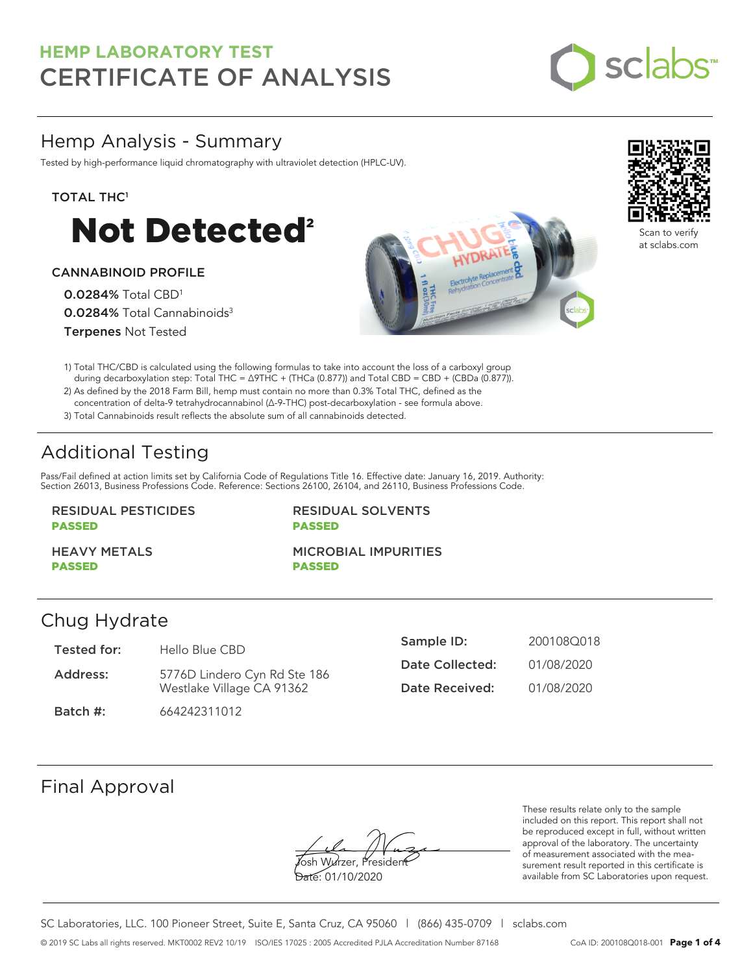

# Hemp Analysis - Summary

Tested by high-performance liquid chromatography with ultraviolet detection (HPLC-UV).

### TOTAL THC<sup>1</sup>



### CANNABINOID PROFILE

0.0284% Total CBD<sup>1</sup> 0.0284% Total Cannabinoids<sup>3</sup> Terpenes Not Tested





Scan to verify at sclabs.com

1) Total THC/CBD is calculated using the following formulas to take into account the loss of a carboxyl group during decarboxylation step: Total THC = ∆9THC + (THCa (0.877)) and Total CBD = CBD + (CBDa (0.877)).

2) As defined by the 2018 Farm Bill, hemp must contain no more than 0.3% Total THC, defined as the concentration of delta-9 tetrahydrocannabinol (Δ-9-THC) post-decarboxylation - see formula above.

3) Total Cannabinoids result reflects the absolute sum of all cannabinoids detected.

# Additional Testing

Pass/Fail defined at action limits set by California Code of Regulations Title 16. Effective date: January 16, 2019. Authority: Section 26013, Business Professions Code. Reference: Sections 26100, 26104, and 26110, Business Professions Code.

### RESIDUAL PESTICIDES PASSED

RESIDUAL SOLVENTS PASSED

HEAVY METALS PASSED

MICROBIAL IMPURITIES PASSED

## Chug Hydrate

| Tested for: | Hello Blue CBD               | Sample ID:      | 200108Q018 |
|-------------|------------------------------|-----------------|------------|
| Address:    | 5776D Lindero Cyn Rd Ste 186 | Date Collected: | 01/08/2020 |
|             | Westlake Village CA 91362    | Date Received:  | 01/08/2020 |
| Batch #:    | 664242311012                 |                 |            |

## Final Approval

Josh Wurzer, President

Date: 01/10/2020

These results relate only to the sample included on this report. This report shall not be reproduced except in full, without written approval of the laboratory. The uncertainty of measurement associated with the measurement result reported in this certificate is available from SC Laboratories upon request.

SC Laboratories, LLC. 100 Pioneer Street, Suite E, Santa Cruz, CA 95060 | (866) 435-0709 | sclabs.com © 2019 SC Labs all rights reserved. MKT0002 REV2 10/19 ISO/IES 17025 : 2005 Accredited PJLA Accreditation Number 87168 CoA ID: 200108Q018-001 **Page 1 of 4**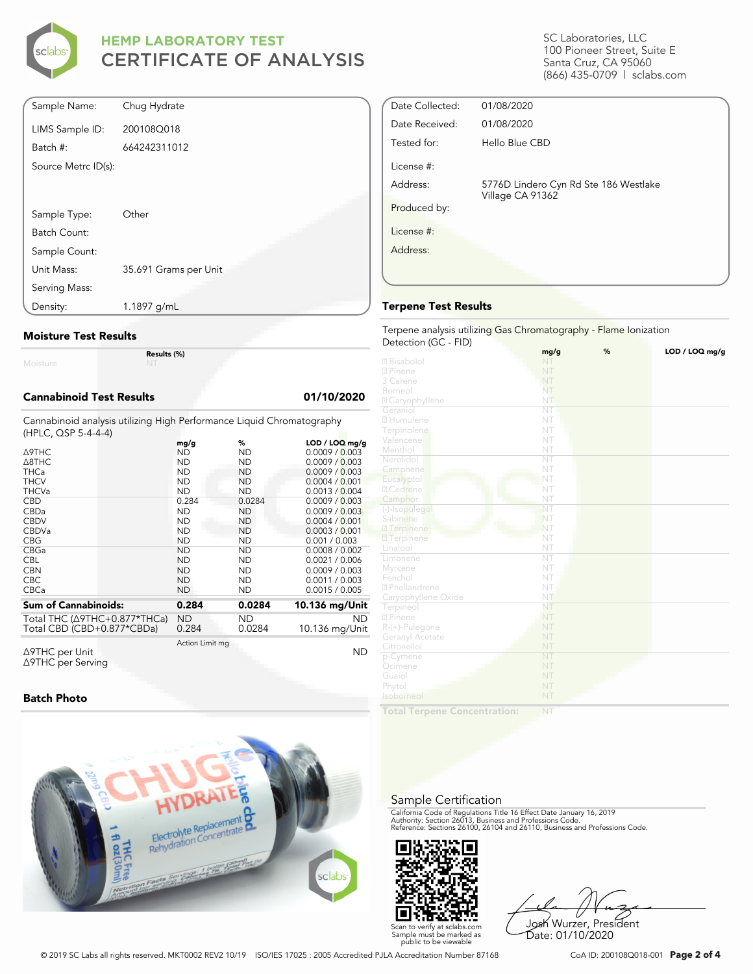

| Sample Name:        | Chug Hydrate          |
|---------------------|-----------------------|
| LIMS Sample ID:     | 200108Q018            |
| Batch #:            | 664242311012          |
| Source Metrc ID(s): |                       |
|                     |                       |
|                     |                       |
| Sample Type:        | Other                 |
| Batch Count:        |                       |
| Sample Count:       |                       |
| Unit Mass:          | 35.691 Grams per Unit |
| Serving Mass:       |                       |
| Density:            | 1.1897 g/mL           |

#### **Moisture Test Results**

Moisture

#### **Cannabinoid Test Results 01/10/2020**

Cannabinoid analysis utilizing High Performance Liquid Chromatography (HPLC, QSP 5-4-4-4)

**Results (%)**

|                                          | mg/g            | %         | $LOD / LOQ$ mg/g |
|------------------------------------------|-----------------|-----------|------------------|
| $\triangle$ 9THC                         | ND              | <b>ND</b> | 0.0009 / 0.003   |
| $\triangle$ 8THC                         | <b>ND</b>       | ND        | 0.0009 / 0.003   |
| <b>THCa</b>                              | <b>ND</b>       | ND.       | 0.0009 / 0.003   |
| <b>THCV</b>                              | ND              | ND        | 0.0004 / 0.001   |
| <b>THCVa</b>                             | <b>ND</b>       | ND        | 0.0013 / 0.004   |
| <b>CBD</b>                               | 0.284           | 0.0284    | 0.0009 / 0.003   |
| CBDa                                     | <b>ND</b>       | <b>ND</b> | 0.0009 / 0.003   |
| <b>CBDV</b>                              | ND              | ΝD        | 0.0004 / 0.001   |
| <b>CBDVa</b>                             | <b>ND</b>       | ΝD        | 0.0003 / 0.001   |
| <b>CBG</b>                               | ND              | ND        | 0.001 / 0.003    |
| CBGa                                     | <b>ND</b>       | ND        | 0.0008 / 0.002   |
| <b>CBL</b>                               | <b>ND</b>       | ND        | 0.0021 / 0.006   |
| <b>CBN</b>                               | <b>ND</b>       | ND        | 0.0009 / 0.003   |
| <b>CBC</b>                               | <b>ND</b>       | <b>ND</b> | 0.0011 / 0.003   |
| <b>CBCa</b>                              | <b>ND</b>       | ND        | 0.0015 / 0.005   |
| <b>Sum of Cannabinoids:</b>              | 0.284           | 0.0284    | 10.136 mg/Unit   |
| Total THC ( $\triangle$ 9THC+0.877*THCa) | ND              | ND.       | <b>ND</b>        |
| Total CBD (CBD+0.877*CBDa)               | 0.284           | 0.0284    | 10.136 mg/Unit   |
|                                          | Action Limit mg |           |                  |
| $\triangle$ 9THC per Unit                |                 |           | ND               |

Δ9THC per Unit Δ9THC per Serving

#### **Batch Photo**



SC Laboratories, LLC 100 Pioneer Street, Suite E Santa Cruz, CA 95060 (866) 435-0709 | sclabs.com

| Date Collected: | 01/08/2020                                                |  |
|-----------------|-----------------------------------------------------------|--|
| Date Received:  | 01/08/2020                                                |  |
| Tested for:     | Hello Blue CBD                                            |  |
| License #:      |                                                           |  |
| Address:        | 5776D Lindero Cyn Rd Ste 186 Westlake<br>Village CA 91362 |  |
| Produced by:    |                                                           |  |
| License #:      |                                                           |  |
| Address:        |                                                           |  |
|                 |                                                           |  |
|                 |                                                           |  |

#### **Terpene Test Results**

#### Terpene analysis utilizing Gas Chromatography - Flame Ionization Detection (GC - FID)

|                           | mg/g                   | % | LOD / LOQ mg/g |
|---------------------------|------------------------|---|----------------|
| 2 Bisabolol               | NT                     |   |                |
| 2 Pinene                  | NT                     |   |                |
| 3 Carene                  | NT                     |   |                |
| Borneol                   | NT                     |   |                |
| 2 Caryophyllene           | NT                     |   |                |
| Geraniol                  | NT                     |   |                |
| 2 Humulene                | NT                     |   |                |
| Terpinolene               | NT                     |   |                |
| Valencene                 | NT                     |   |                |
| Menthol                   | NT                     |   |                |
| Nerolidol                 | $\overline{\text{NT}}$ |   |                |
| Camphene                  | NT                     |   |                |
| Eucalyptol                | NT                     |   |                |
| 2 Cedrene                 | NT                     |   |                |
| Camphor                   | NT                     |   |                |
| (-)-Isopulegol            | NT                     |   |                |
| Sabinene                  | NT                     |   |                |
| 2 Terpinene               | NT                     |   |                |
| <b>7</b> Terpinene        | NT                     |   |                |
| Linalool                  | NT                     |   |                |
| Limonene                  | $\overline{\text{NT}}$ |   |                |
| Myrcene                   | NT                     |   |                |
| Fenchol                   | NT                     |   |                |
| <sup>2</sup> Phellandrene | NT                     |   |                |
| Caryophyllene Oxide       | NT                     |   |                |
| Terpineol                 | NT                     |   |                |
| 2 Pinene                  | NT                     |   |                |
| R-(+)-Pulegone            | NT                     |   |                |
| Geranyl Acetate           | NT                     |   |                |
| Citronellol               | NT                     |   |                |
| p-Cymene                  | NT                     |   |                |
| Ocimene                   | NT                     |   |                |
| Guaiol                    | NT                     |   |                |
| Phytol                    | NT                     |   |                |
| Isoborneol                | NT                     |   |                |
|                           |                        |   |                |

**Total Terpene Concentration:**

#### Sample Certification

California Code of Regulations Title 16 Effect Date January 16, 2019<br>Authority: Section 26013, Business and Professions Code.<br>Reference: Sections 26100, 26104 and 26110, Business and Professions Code.



Josh Wurzer, President Date: 01/10/2020

© 2019 SC Labs all rights reserved. MKT0002 REV2 10/19 ISO/IES 17025 : 2005 Accredited PJLA Accreditation Number 87168 CoA ID: 200108Q018-001 **Page 2 of 4**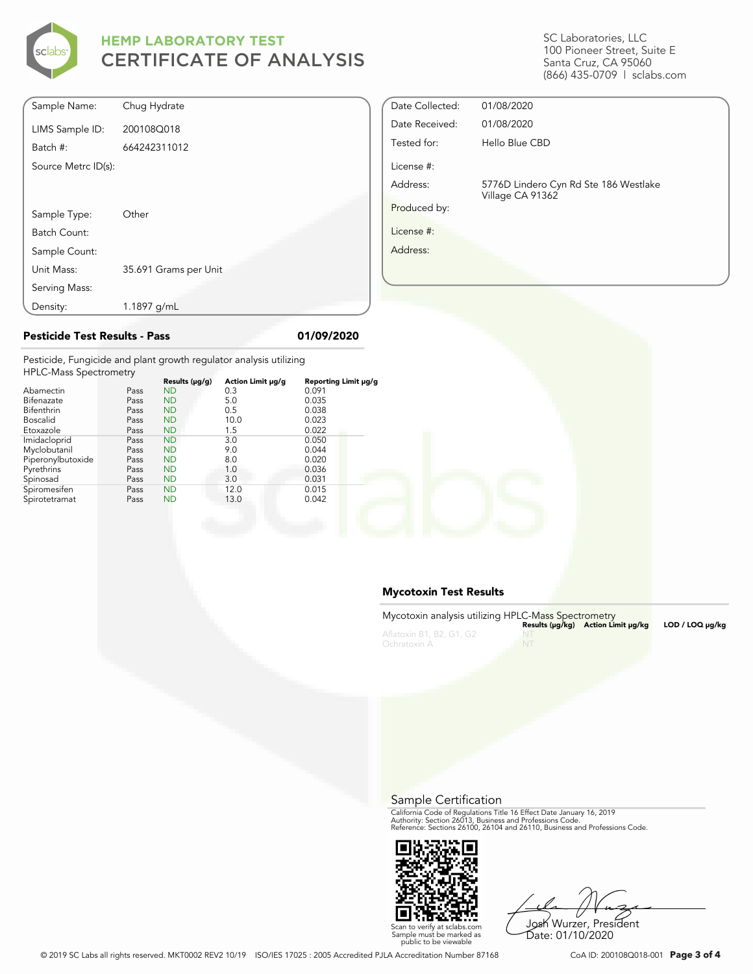

SC Laboratories, LLC 100 Pioneer Street, Suite E Santa Cruz, CA 95060 (866) 435-0709 | sclabs.com

| Sample Name:        | Chug Hydrate          |
|---------------------|-----------------------|
| LIMS Sample ID:     | 200108Q018            |
| Batch #:            | 664242311012          |
| Source Metrc ID(s): |                       |
|                     |                       |
| Sample Type:        | Other                 |
| Batch Count:        |                       |
| Sample Count:       |                       |
| Unit Mass:          | 35.691 Grams per Unit |
| Serving Mass:       |                       |
| Density:            | 1.1897 g/mL           |

# Date Collected: 01/08/2020 Date Received: 01/08/2020 Tested for: Hello Blue CBD License #: Address: 5776D Lindero Cyn Rd Ste 186 Westlake Village CA 91362 Produced by: License #: Address:

Pesticide, Fungicide and plant growth regulator analysis utilizing

| <b>HPLC-Mass Spectrometry</b> |      |                     |                   |                      |
|-------------------------------|------|---------------------|-------------------|----------------------|
|                               |      | Results $(\mu g/g)$ | Action Limit µg/g | Reporting Limit µg/g |
| Abamectin                     | Pass | <b>ND</b>           | 0.3               | 0.091                |
| Bifenazate                    | Pass | <b>ND</b>           | 5.0               | 0.035                |
| Bifenthrin                    | Pass | <b>ND</b>           | 0.5               | 0.038                |
| <b>Boscalid</b>               | Pass | <b>ND</b>           | 10.0              | 0.023                |
| Etoxazole                     | Pass | <b>ND</b>           | 1.5               | 0.022                |
| Imidacloprid                  | Pass | <b>ND</b>           | 3.0               | 0.050                |
| Myclobutanil                  | Pass | <b>ND</b>           | 9.0               | 0.044                |
| Piperonylbutoxide             | Pass | <b>ND</b>           | 8.0               | 0.020                |
| Pyrethrins                    | Pass | <b>ND</b>           | 1.0               | 0.036                |
| Spinosad                      | Pass | <b>ND</b>           | 3.0               | 0.031                |
| Spiromesifen                  | Pass | <b>ND</b>           | 12.0              | 0.015                |
| Spirotetramat                 | Pass | <b>ND</b>           | 13.0              | 0.042                |
|                               |      |                     |                   |                      |

**Pesticide Test Results - Pass 01/09/2020**

#### **Mycotoxin Test Results**

| Mycotoxin analysis utilizing HPLC-Mass Spectrometry |           |                                    |                      |
|-----------------------------------------------------|-----------|------------------------------------|----------------------|
|                                                     |           | Results (µq/kq) Action Limit µq/kq | $LOD / LOQ \mu q/kg$ |
| Aflatoxin B1, B2, G1, G2                            |           |                                    |                      |
| Ochratoxin A                                        | <b>NT</b> |                                    |                      |

Sample Certification

California Code of Regulations Title 16 Effect Date January 16, 2019<br>Authority: Section 26013, Business and Professions Code.<br>Reference: Sections 26100, 26104 and 26110, Business and Professions Code.



Josh Wurzer, President Date: 01/10/2020

© 2019 SC Labs all rights reserved. MKT0002 REV2 10/19 ISO/IES 17025 : 2005 Accredited PJLA Accreditation Number 87168 CoA ID: 200108Q018-001 **Page 3 of 4**